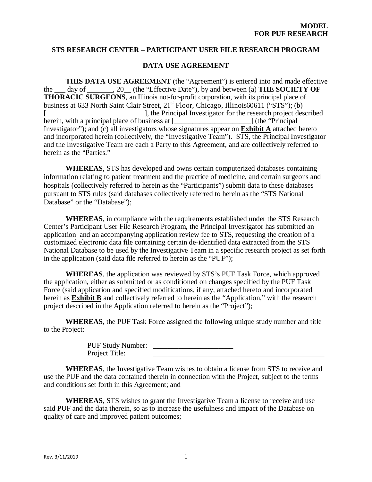#### **STS RESEARCH CENTER – PARTICIPANT USER FILE RESEARCH PROGRAM**

#### **DATA USE AGREEMENT**

**THIS DATA USE AGREEMENT** (the "Agreement") is entered into and made effective the \_\_\_ day of \_\_\_\_\_\_\_, 20\_\_ (the "Effective Date"), by and between (a) **THE SOCIETY OF THORACIC SURGEONS**, an Illinois not-for-profit corporation, with its principal place of business at 633 North Saint Clair Street, 21<sup>st</sup> Floor, Chicago, Illinois60611 ("STS"); (b) [....], the Principal Investigator for the research project described herein, with a principal place of business at [2004] (the "Principal" Investigator"); and (c) all investigators whose signatures appear on **Exhibit A** attached hereto and incorporated herein (collectively, the "Investigative Team"). STS, the Principal Investigator and the Investigative Team are each a Party to this Agreement, and are collectively referred to herein as the "Parties."

**WHEREAS**, STS has developed and owns certain computerized databases containing information relating to patient treatment and the practice of medicine, and certain surgeons and hospitals (collectively referred to herein as the "Participants") submit data to these databases pursuant to STS rules (said databases collectively referred to herein as the "STS National Database" or the "Database");

**WHEREAS**, in compliance with the requirements established under the STS Research Center's Participant User File Research Program, the Principal Investigator has submitted an application and an accompanying application review fee to STS, requesting the creation of a customized electronic data file containing certain de-identified data extracted from the STS National Database to be used by the Investigative Team in a specific research project as set forth in the application (said data file referred to herein as the "PUF");

**WHEREAS**, the application was reviewed by STS's PUF Task Force, which approved the application, either as submitted or as conditioned on changes specified by the PUF Task Force (said application and specified modifications, if any, attached hereto and incorporated herein as **Exhibit B** and collectively referred to herein as the "Application," with the research project described in the Application referred to herein as the "Project");

**WHEREAS**, the PUF Task Force assigned the following unique study number and title to the Project:

> PUF Study Number: Project Title:

**WHEREAS**, the Investigative Team wishes to obtain a license from STS to receive and use the PUF and the data contained therein in connection with the Project, subject to the terms and conditions set forth in this Agreement; and

**WHEREAS**, STS wishes to grant the Investigative Team a license to receive and use said PUF and the data therein, so as to increase the usefulness and impact of the Database on quality of care and improved patient outcomes;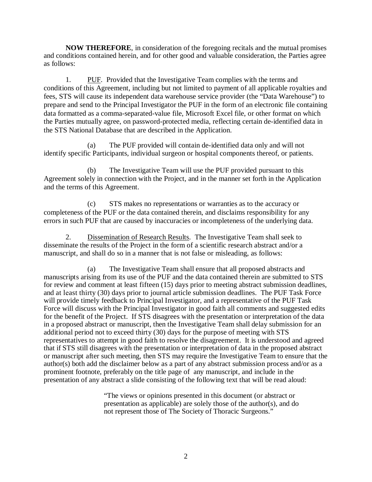**NOW THEREFORE**, in consideration of the foregoing recitals and the mutual promises and conditions contained herein, and for other good and valuable consideration, the Parties agree as follows:

1. PUF. Provided that the Investigative Team complies with the terms and conditions of this Agreement, including but not limited to payment of all applicable royalties and fees, STS will cause its independent data warehouse service provider (the "Data Warehouse") to prepare and send to the Principal Investigator the PUF in the form of an electronic file containing data formatted as a comma-separated-value file, Microsoft Excel file, or other format on which the Parties mutually agree, on password-protected media, reflecting certain de-identified data in the STS National Database that are described in the Application.

(a) The PUF provided will contain de-identified data only and will not identify specific Participants, individual surgeon or hospital components thereof, or patients.

(b) The Investigative Team will use the PUF provided pursuant to this Agreement solely in connection with the Project, and in the manner set forth in the Application and the terms of this Agreement.

(c) STS makes no representations or warranties as to the accuracy or completeness of the PUF or the data contained therein, and disclaims responsibility for any errors in such PUF that are caused by inaccuracies or incompleteness of the underlying data.

2. Dissemination of Research Results. The Investigative Team shall seek to disseminate the results of the Project in the form of a scientific research abstract and/or a manuscript, and shall do so in a manner that is not false or misleading, as follows:

(a) The Investigative Team shall ensure that all proposed abstracts and manuscripts arising from its use of the PUF and the data contained therein are submitted to STS for review and comment at least fifteen (15) days prior to meeting abstract submission deadlines, and at least thirty (30) days prior to journal article submission deadlines. The PUF Task Force will provide timely feedback to Principal Investigator, and a representative of the PUF Task Force will discuss with the Principal Investigator in good faith all comments and suggested edits for the benefit of the Project. If STS disagrees with the presentation or interpretation of the data in a proposed abstract or manuscript, then the Investigative Team shall delay submission for an additional period not to exceed thirty (30) days for the purpose of meeting with STS representatives to attempt in good faith to resolve the disagreement. It is understood and agreed that if STS still disagrees with the presentation or interpretation of data in the proposed abstract or manuscript after such meeting, then STS may require the Investigative Team to ensure that the author(s) both add the disclaimer below as a part of any abstract submission process and/or as a prominent footnote, preferably on the title page of any manuscript, and include in the presentation of any abstract a slide consisting of the following text that will be read aloud:

> "The views or opinions presented in this document (or abstract or presentation as applicable) are solely those of the author(s), and do not represent those of The Society of Thoracic Surgeons."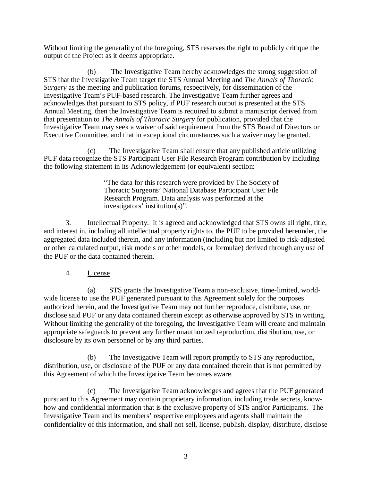Without limiting the generality of the foregoing, STS reserves the right to publicly critique the output of the Project as it deems appropriate.

(b) The Investigative Team hereby acknowledges the strong suggestion of STS that the Investigative Team target the STS Annual Meeting and *The Annals of Thoracic Surgery* as the meeting and publication forums, respectively, for dissemination of the Investigative Team's PUF-based research. The Investigative Team further agrees and acknowledges that pursuant to STS policy, if PUF research output is presented at the STS Annual Meeting, then the Investigative Team is required to submit a manuscript derived from that presentation to *The Annals of Thoracic Surgery* for publication, provided that the Investigative Team may seek a waiver of said requirement from the STS Board of Directors or Executive Committee, and that in exceptional circumstances such a waiver may be granted.

(c) The Investigative Team shall ensure that any published article utilizing PUF data recognize the STS Participant User File Research Program contribution by including the following statement in its Acknowledgement (or equivalent) section:

> "The data for this research were provided by The Society of Thoracic Surgeons' National Database Participant User File Research Program. Data analysis was performed at the investigators' institution(s)".

3. Intellectual Property. It is agreed and acknowledged that STS owns all right, title, and interest in, including all intellectual property rights to, the PUF to be provided hereunder, the aggregated data included therein, and any information (including but not limited to risk-adjusted or other calculated output, risk models or other models, or formulae) derived through any use of the PUF or the data contained therein.

### 4. License

(a) STS grants the Investigative Team a non-exclusive, time-limited, worldwide license to use the PUF generated pursuant to this Agreement solely for the purposes authorized herein, and the Investigative Team may not further reproduce, distribute, use, or disclose said PUF or any data contained therein except as otherwise approved by STS in writing. Without limiting the generality of the foregoing, the Investigative Team will create and maintain appropriate safeguards to prevent any further unauthorized reproduction, distribution, use, or disclosure by its own personnel or by any third parties.

(b) The Investigative Team will report promptly to STS any reproduction, distribution, use, or disclosure of the PUF or any data contained therein that is not permitted by this Agreement of which the Investigative Team becomes aware.

(c) The Investigative Team acknowledges and agrees that the PUF generated pursuant to this Agreement may contain proprietary information, including trade secrets, knowhow and confidential information that is the exclusive property of STS and/or Participants. The Investigative Team and its members' respective employees and agents shall maintain the confidentiality of this information, and shall not sell, license, publish, display, distribute, disclose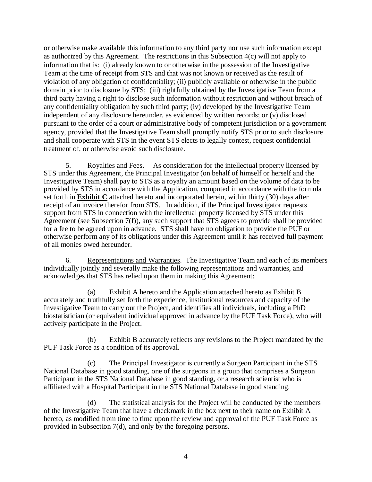or otherwise make available this information to any third party nor use such information except as authorized by this Agreement. The restrictions in this Subsection 4(c) will not apply to information that is: (i) already known to or otherwise in the possession of the Investigative Team at the time of receipt from STS and that was not known or received as the result of violation of any obligation of confidentiality; (ii) publicly available or otherwise in the public domain prior to disclosure by STS; (iii) rightfully obtained by the Investigative Team from a third party having a right to disclose such information without restriction and without breach of any confidentiality obligation by such third party; (iv) developed by the Investigative Team independent of any disclosure hereunder, as evidenced by written records; or (v) disclosed pursuant to the order of a court or administrative body of competent jurisdiction or a government agency, provided that the Investigative Team shall promptly notify STS prior to such disclosure and shall cooperate with STS in the event STS elects to legally contest, request confidential treatment of, or otherwise avoid such disclosure.

5. Royalties and Fees. As consideration for the intellectual property licensed by STS under this Agreement, the Principal Investigator (on behalf of himself or herself and the Investigative Team) shall pay to STS as a royalty an amount based on the volume of data to be provided by STS in accordance with the Application, computed in accordance with the formula set forth in **Exhibit C** attached hereto and incorporated herein, within thirty (30) days after receipt of an invoice therefor from STS. In addition, if the Principal Investigator requests support from STS in connection with the intellectual property licensed by STS under this Agreement (see Subsection 7(f)), any such support that STS agrees to provide shall be provided for a fee to be agreed upon in advance. STS shall have no obligation to provide the PUF or otherwise perform any of its obligations under this Agreement until it has received full payment of all monies owed hereunder.

6. Representations and Warranties. The Investigative Team and each of its members individually jointly and severally make the following representations and warranties, and acknowledges that STS has relied upon them in making this Agreement:

(a) Exhibit A hereto and the Application attached hereto as Exhibit B accurately and truthfully set forth the experience, institutional resources and capacity of the Investigative Team to carry out the Project, and identifies all individuals, including a PhD biostatistician (or equivalent individual approved in advance by the PUF Task Force), who will actively participate in the Project.

(b) Exhibit B accurately reflects any revisions to the Project mandated by the PUF Task Force as a condition of its approval.

(c) The Principal Investigator is currently a Surgeon Participant in the STS National Database in good standing, one of the surgeons in a group that comprises a Surgeon Participant in the STS National Database in good standing, or a research scientist who is affiliated with a Hospital Participant in the STS National Database in good standing.

(d) The statistical analysis for the Project will be conducted by the members of the Investigative Team that have a checkmark in the box next to their name on Exhibit A hereto, as modified from time to time upon the review and approval of the PUF Task Force as provided in Subsection 7(d), and only by the foregoing persons.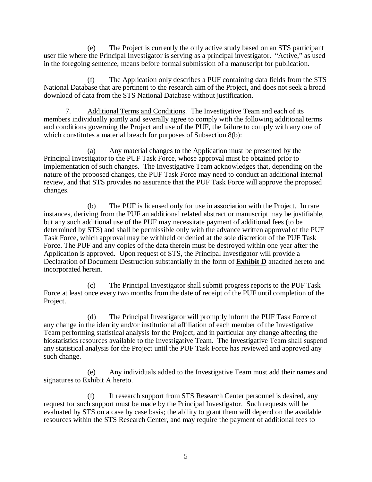(e) The Project is currently the only active study based on an STS participant user file where the Principal Investigator is serving as a principal investigator. "Active," as used in the foregoing sentence, means before formal submission of a manuscript for publication.

(f) The Application only describes a PUF containing data fields from the STS National Database that are pertinent to the research aim of the Project, and does not seek a broad download of data from the STS National Database without justification.

7. Additional Terms and Conditions. The Investigative Team and each of its members individually jointly and severally agree to comply with the following additional terms and conditions governing the Project and use of the PUF, the failure to comply with any one of which constitutes a material breach for purposes of Subsection 8(b):

(a) Any material changes to the Application must be presented by the Principal Investigator to the PUF Task Force, whose approval must be obtained prior to implementation of such changes. The Investigative Team acknowledges that, depending on the nature of the proposed changes, the PUF Task Force may need to conduct an additional internal review, and that STS provides no assurance that the PUF Task Force will approve the proposed changes.

(b) The PUF is licensed only for use in association with the Project. In rare instances, deriving from the PUF an additional related abstract or manuscript may be justifiable, but any such additional use of the PUF may necessitate payment of additional fees (to be determined by STS) and shall be permissible only with the advance written approval of the PUF Task Force, which approval may be withheld or denied at the sole discretion of the PUF Task Force. The PUF and any copies of the data therein must be destroyed within one year after the Application is approved. Upon request of STS, the Principal Investigator will provide a Declaration of Document Destruction substantially in the form of **Exhibit D** attached hereto and incorporated herein.

(c) The Principal Investigator shall submit progress reports to the PUF Task Force at least once every two months from the date of receipt of the PUF until completion of the Project.

(d) The Principal Investigator will promptly inform the PUF Task Force of any change in the identity and/or institutional affiliation of each member of the Investigative Team performing statistical analysis for the Project, and in particular any change affecting the biostatistics resources available to the Investigative Team. The Investigative Team shall suspend any statistical analysis for the Project until the PUF Task Force has reviewed and approved any such change.

(e) Any individuals added to the Investigative Team must add their names and signatures to Exhibit A hereto.

(f) If research support from STS Research Center personnel is desired, any request for such support must be made by the Principal Investigator. Such requests will be evaluated by STS on a case by case basis; the ability to grant them will depend on the available resources within the STS Research Center, and may require the payment of additional fees to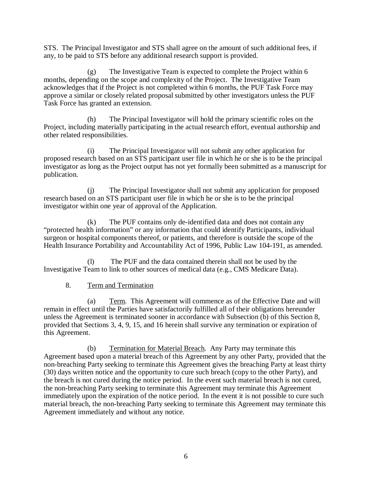STS. The Principal Investigator and STS shall agree on the amount of such additional fees, if any, to be paid to STS before any additional research support is provided.

(g) The Investigative Team is expected to complete the Project within 6 months, depending on the scope and complexity of the Project. The Investigative Team acknowledges that if the Project is not completed within 6 months, the PUF Task Force may approve a similar or closely related proposal submitted by other investigators unless the PUF Task Force has granted an extension.

(h) The Principal Investigator will hold the primary scientific roles on the Project, including materially participating in the actual research effort, eventual authorship and other related responsibilities.

(i) The Principal Investigator will not submit any other application for proposed research based on an STS participant user file in which he or she is to be the principal investigator as long as the Project output has not yet formally been submitted as a manuscript for publication.

(j) The Principal Investigator shall not submit any application for proposed research based on an STS participant user file in which he or she is to be the principal investigator within one year of approval of the Application.

(k) The PUF contains only de-identified data and does not contain any "protected health information" or any information that could identify Participants, individual surgeon or hospital components thereof, or patients, and therefore is outside the scope of the Health Insurance Portability and Accountability Act of 1996, Public Law 104-191, as amended.

(l) The PUF and the data contained therein shall not be used by the Investigative Team to link to other sources of medical data (e.g., CMS Medicare Data).

## 8. Term and Termination

(a) Term. This Agreement will commence as of the Effective Date and will remain in effect until the Parties have satisfactorily fulfilled all of their obligations hereunder unless the Agreement is terminated sooner in accordance with Subsection (b) of this Section 8, provided that Sections 3, 4, 9, 15, and 16 herein shall survive any termination or expiration of this Agreement.

(b) Termination for Material Breach. Any Party may terminate this Agreement based upon a material breach of this Agreement by any other Party, provided that the non-breaching Party seeking to terminate this Agreement gives the breaching Party at least thirty (30) days written notice and the opportunity to cure such breach (copy to the other Party), and the breach is not cured during the notice period. In the event such material breach is not cured, the non-breaching Party seeking to terminate this Agreement may terminate this Agreement immediately upon the expiration of the notice period. In the event it is not possible to cure such material breach, the non-breaching Party seeking to terminate this Agreement may terminate this Agreement immediately and without any notice.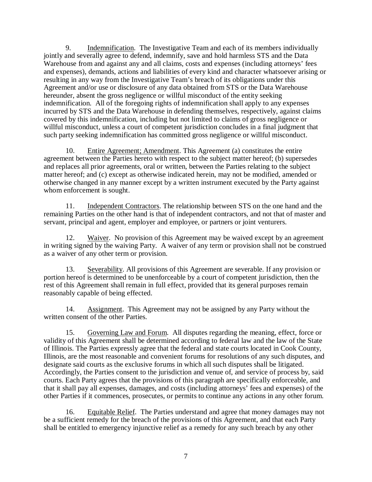9. Indemnification. The Investigative Team and each of its members individually jointly and severally agree to defend, indemnify, save and hold harmless STS and the Data Warehouse from and against any and all claims, costs and expenses (including attorneys' fees and expenses), demands, actions and liabilities of every kind and character whatsoever arising or resulting in any way from the Investigative Team's breach of its obligations under this Agreement and/or use or disclosure of any data obtained from STS or the Data Warehouse hereunder, absent the gross negligence or willful misconduct of the entity seeking indemnification. All of the foregoing rights of indemnification shall apply to any expenses incurred by STS and the Data Warehouse in defending themselves, respectively, against claims covered by this indemnification, including but not limited to claims of gross negligence or willful misconduct, unless a court of competent jurisdiction concludes in a final judgment that such party seeking indemnification has committed gross negligence or willful misconduct.

10. Entire Agreement; Amendment. This Agreement (a) constitutes the entire agreement between the Parties hereto with respect to the subject matter hereof; (b) supersedes and replaces all prior agreements, oral or written, between the Parties relating to the subject matter hereof; and (c) except as otherwise indicated herein, may not be modified, amended or otherwise changed in any manner except by a written instrument executed by the Party against whom enforcement is sought.

11. Independent Contractors. The relationship between STS on the one hand and the remaining Parties on the other hand is that of independent contractors, and not that of master and servant, principal and agent, employer and employee, or partners or joint venturers.

12. Waiver. No provision of this Agreement may be waived except by an agreement in writing signed by the waiving Party. A waiver of any term or provision shall not be construed as a waiver of any other term or provision.

13. Severability. All provisions of this Agreement are severable. If any provision or portion hereof is determined to be unenforceable by a court of competent jurisdiction, then the rest of this Agreement shall remain in full effect, provided that its general purposes remain reasonably capable of being effected.

14. Assignment. This Agreement may not be assigned by any Party without the written consent of the other Parties.

15. Governing Law and Forum. All disputes regarding the meaning, effect, force or validity of this Agreement shall be determined according to federal law and the law of the State of Illinois. The Parties expressly agree that the federal and state courts located in Cook County, Illinois, are the most reasonable and convenient forums for resolutions of any such disputes, and designate said courts as the exclusive forums in which all such disputes shall be litigated. Accordingly, the Parties consent to the jurisdiction and venue of, and service of process by, said courts. Each Party agrees that the provisions of this paragraph are specifically enforceable, and that it shall pay all expenses, damages, and costs (including attorneys' fees and expenses) of the other Parties if it commences, prosecutes, or permits to continue any actions in any other forum.

16. Equitable Relief. The Parties understand and agree that money damages may not be a sufficient remedy for the breach of the provisions of this Agreement, and that each Party shall be entitled to emergency injunctive relief as a remedy for any such breach by any other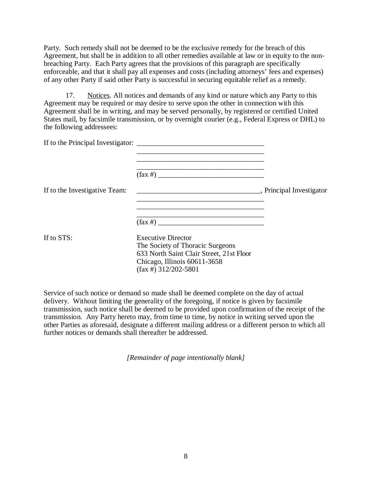Party. Such remedy shall not be deemed to be the exclusive remedy for the breach of this Agreement, but shall be in addition to all other remedies available at law or in equity to the nonbreaching Party. Each Party agrees that the provisions of this paragraph are specifically enforceable, and that it shall pay all expenses and costs (including attorneys' fees and expenses) of any other Party if said other Party is successful in securing equitable relief as a remedy.

17. Notices. All notices and demands of any kind or nature which any Party to this Agreement may be required or may desire to serve upon the other in connection with this Agreement shall be in writing, and may be served personally, by registered or certified United States mail, by facsimile transmission, or by overnight courier (e.g., Federal Express or DHL) to the following addressees:

| If to the Investigative Team: |                                                                                                                                                                      |  |
|-------------------------------|----------------------------------------------------------------------------------------------------------------------------------------------------------------------|--|
|                               | $(\text{fax } \#)$                                                                                                                                                   |  |
| If to STS:                    | <b>Executive Director</b><br>The Society of Thoracic Surgeons<br>633 North Saint Clair Street, 21st Floor<br>Chicago, Illinois 60611-3658<br>$(fax \#)$ 312/202-5801 |  |

Service of such notice or demand so made shall be deemed complete on the day of actual delivery. Without limiting the generality of the foregoing, if notice is given by facsimile transmission, such notice shall be deemed to be provided upon confirmation of the receipt of the transmission. Any Party hereto may, from time to time, by notice in writing served upon the other Parties as aforesaid, designate a different mailing address or a different person to which all further notices or demands shall thereafter be addressed.

*[Remainder of page intentionally blank]*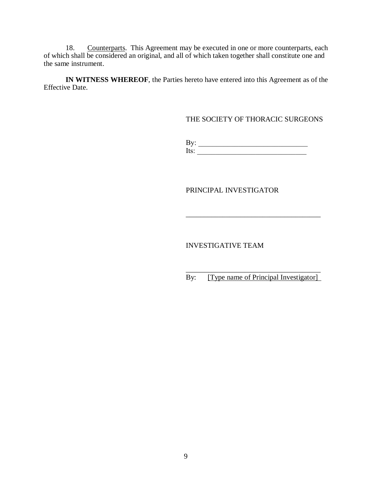18. Counterparts. This Agreement may be executed in one or more counterparts, each of which shall be considered an original, and all of which taken together shall constitute one and the same instrument.

**IN WITNESS WHEREOF**, the Parties hereto have entered into this Agreement as of the Effective Date.

THE SOCIETY OF THORACIC SURGEONS

By:  $\Box$ Its:  $\frac{1}{\sqrt{2}}$ 

PRINCIPAL INVESTIGATOR

INVESTIGATIVE TEAM

\_\_\_\_\_\_\_\_\_\_\_\_\_\_\_\_\_\_\_\_\_\_\_\_\_\_\_\_\_\_\_\_\_\_\_\_\_ By: [Type name of Principal Investigator]

\_\_\_\_\_\_\_\_\_\_\_\_\_\_\_\_\_\_\_\_\_\_\_\_\_\_\_\_\_\_\_\_\_\_\_\_\_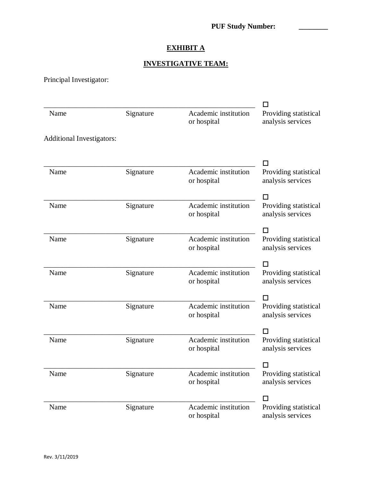## **EXHIBIT A**

## **INVESTIGATIVE TEAM:**

Principal Investigator:

|                                  |           |                                     | П                                          |
|----------------------------------|-----------|-------------------------------------|--------------------------------------------|
| Name                             | Signature | Academic institution<br>or hospital | Providing statistical<br>analysis services |
| <b>Additional Investigators:</b> |           |                                     |                                            |
|                                  |           | Academic institution                | l I                                        |
| Name                             | Signature | or hospital                         | Providing statistical<br>analysis services |
|                                  |           |                                     | П                                          |
| Name                             | Signature | Academic institution<br>or hospital | Providing statistical<br>analysis services |
|                                  |           |                                     | l I                                        |
| Name                             | Signature | Academic institution<br>or hospital | Providing statistical<br>analysis services |
|                                  |           |                                     | п                                          |
| Name                             | Signature | Academic institution<br>or hospital | Providing statistical<br>analysis services |
|                                  |           |                                     | П                                          |
| Name                             | Signature | Academic institution<br>or hospital | Providing statistical<br>analysis services |
|                                  |           |                                     | ΙI                                         |
| Name                             | Signature | Academic institution<br>or hospital | Providing statistical<br>analysis services |
|                                  |           |                                     |                                            |
| Name                             | Signature | Academic institution<br>or hospital | Providing statistical<br>analysis services |
|                                  |           |                                     | □                                          |
| Name                             | Signature | Academic institution<br>or hospital | Providing statistical<br>analysis services |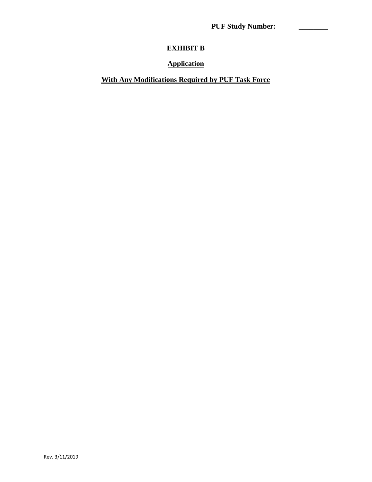**PUF Study Number: \_\_\_\_\_\_\_\_** 

# **EXHIBIT B**

### **Application**

## **With Any Modifications Required by PUF Task Force**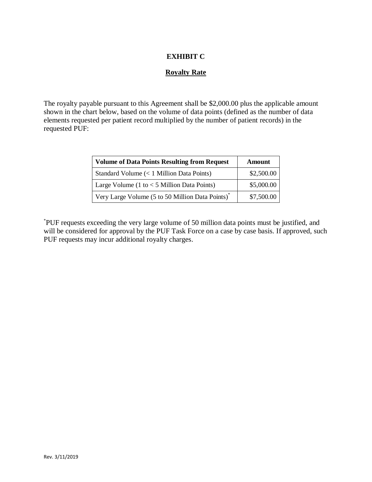### **EXHIBIT C**

### **Royalty Rate**

The royalty payable pursuant to this Agreement shall be \$2,000.00 plus the applicable amount shown in the chart below, based on the volume of data points (defined as the number of data elements requested per patient record multiplied by the number of patient records) in the requested PUF:

| <b>Volume of Data Points Resulting from Request</b>          | Amount     |
|--------------------------------------------------------------|------------|
| Standard Volume (< 1 Million Data Points)                    | \$2,500.00 |
| Large Volume (1 to $<$ 5 Million Data Points)                | \$5,000.00 |
| Very Large Volume (5 to 50 Million Data Points) <sup>*</sup> | \$7,500.00 |

\* PUF requests exceeding the very large volume of 50 million data points must be justified, and will be considered for approval by the PUF Task Force on a case by case basis. If approved, such PUF requests may incur additional royalty charges.